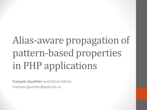# Alias-aware propagation of pattern-based properties in PHP applications

**François Gauthier** and Ettore Merlo francois.gauthier@polymtl.ca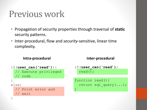### Previous work

- Propagation of security properties through traversal of **static** security patterns.
- Inter-procedural, flow and *security*-sensitive, linear time complexity.

#### **Intra-procedural Inter-procedural**

```
if(user_can('read')){
   // Execute privileged
   // code
}
```
}

```
else{
```

```
 // Print error and
 // exit
```

```
if(user_can('read'))
   read();
```

```
function read(){
   return sql_query(...);
}
```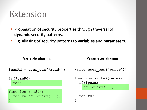### Extension

- Propagation of security properties through traversal of **dynamic** security patterns.
- E.g. aliasing of security patterns to **variables** and **parameters**.

```
Variable aliasing Parameter aliasing
                               write(user_can('write'));
                               function write($perm){
                                 if($perm){
                                    sql_query(...);
                                }
                                  return;
                               }
$canRd = user_can('read');
if($canRd)
   read();
function read(){
   return sql_query(...);
}
```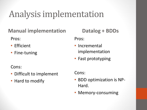# Analysis implementation

**Manual implementation**

Pros:

- Efficient
- Fine-tuning

Cons:

- Difficult to implement
- Hard to modify

**Datalog + BDDs** Pros:

- Incremental implementation
- Fast prototyping

Cons:

- BDD optimization is NP-Hard.
- Memory-consuming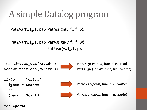# A simple Datalog program

Pat2Var(v,  $f_n$ ,  $f_i$ , p) :- PatAssign(v,  $f_n$ ,  $f_i$ , p).

Pat2Var(v, f<sub>n</sub>, f<sub>i</sub>, p) :- VarAssign(v, f<sub>n</sub>, f<sub>i</sub>, w), Pat2Var(w, f<sub>n</sub>, f<sub>i</sub>, p).

```
$canRd=user_can('read');
$canWt=user_can('write');
```


PatAssign (*canRd*, func, file, "read") PatAssign (*canWt*, func, file, "write")

```
if(Sop == "write") $perm = $canWt;
```

```
else
```
**\$perm** = **\$canRd**;



VarAssign(*perm*, func, file, *canWt*)

VarAssign(*perm*, func, file, *canRd*)

foo(**\$perm**);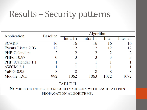# Results – Security patterns

| Application          | <b>Baseline</b> | Algorithm |           |       |           |  |
|----------------------|-----------------|-----------|-----------|-------|-----------|--|
|                      |                 | Intra f-i | Intra f-s | Inter | Inter al. |  |
| <b>SCARF</b>         | 16              | 16        | 16        | 16    | 16        |  |
| Events Lister 2.03   | 12              | 12        | 12        | 12    | 12        |  |
| <b>PHP</b> Calendars |                 |           |           |       |           |  |
| PHPoll 0.97          |                 |           |           |       | 3         |  |
| PHP iCalendar 1.1    |                 |           |           |       |           |  |
| <b>AWCM 2.1</b>      |                 |           |           |       |           |  |
| YaPiG 0.95           | 8               |           |           |       |           |  |
| Moodle 1.9.5         | 992             |           |           |       |           |  |

#### **TABLE II**

#### NUMBER OR DETECTED SECURITY CHECKS WITH EACH PATTERN PROPAGATION ALGORITHMS.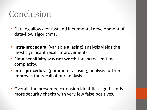## Conclusion

- Datalog allows for fast and incremental development of data-flow algorithms.
- **Intra-procedural** (variable aliasing) analysis yields the most significant recall improvements.
- **Flow-sensitivity** was **not worth** the increased time complexity.
- **Inter-procedural** (parameter aliasing) analysis further improves the recall of our analysis.
- Overall, the presented extension identifies significantly more security checks with very few false positives.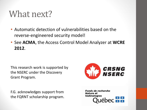### What next?

- Automatic detection of vulnerabilities based on the reverse-engineered security model!
- See **ACMA**, the Access Control Model Analyzer at **WCRE 2012**.

This research work is supported by the NSERC under the Discovery Grant Program.

F.G. acknowledges support from the FQRNT scholarship program.